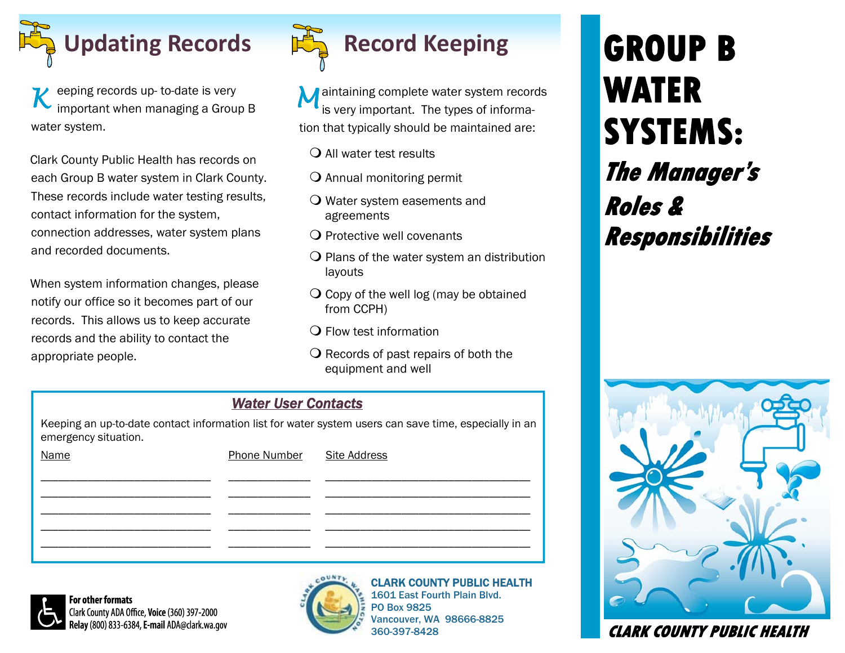

eeping records up- to-date is very important when managing a Group B water system. *K* 

Clark County Public Health has records on each Group B water system in Clark County. These records include water testing results, contact information for the system, connection addresses, water system plans and recorded documents.

When system information changes, please notify our office so it becomes part of our records. This allows us to keep accurate records and the ability to contact the appropriate people.



M aintaining complete water system records<br> **M** is very important. The times of information is very important. The types of information that typically should be maintained are:

- All water test results
- $\bigcirc$  Annual monitoring permit
- Water system easements and agreements
- $\Omega$  Protective well covenants
- $\overline{Q}$  Plans of the water system an distribution layouts
- $\overline{Q}$  Copy of the well log (may be obtained from CCPH)
- $\Omega$  Flow test information
- $\Omega$  Records of past repairs of both the equipment and well

#### *Water User Contacts*

Keeping an up-to-date contact information list for water system users can save time, especially in an emergency situation.

| <b>Name</b> | Phone Number Site Address |  |
|-------------|---------------------------|--|
|             |                           |  |
|             |                           |  |
|             |                           |  |
|             |                           |  |



For other formats Clark County ADA Office, Voice (360) 397-2000 Relay (800) 833-6384, E-mail ADA@clark.wa.gov



**COUNTY PUBLIC HEALTH** 1601 East Fourth Plain Blvd.

PO Box 9825 ouver, WA 98666-8825 360-397-8428

# **GROUP B WATER SYSTEMS: The Manager's Roles & Responsibilities**



 **CLARK COUNTY PUBLIC HEALTH**